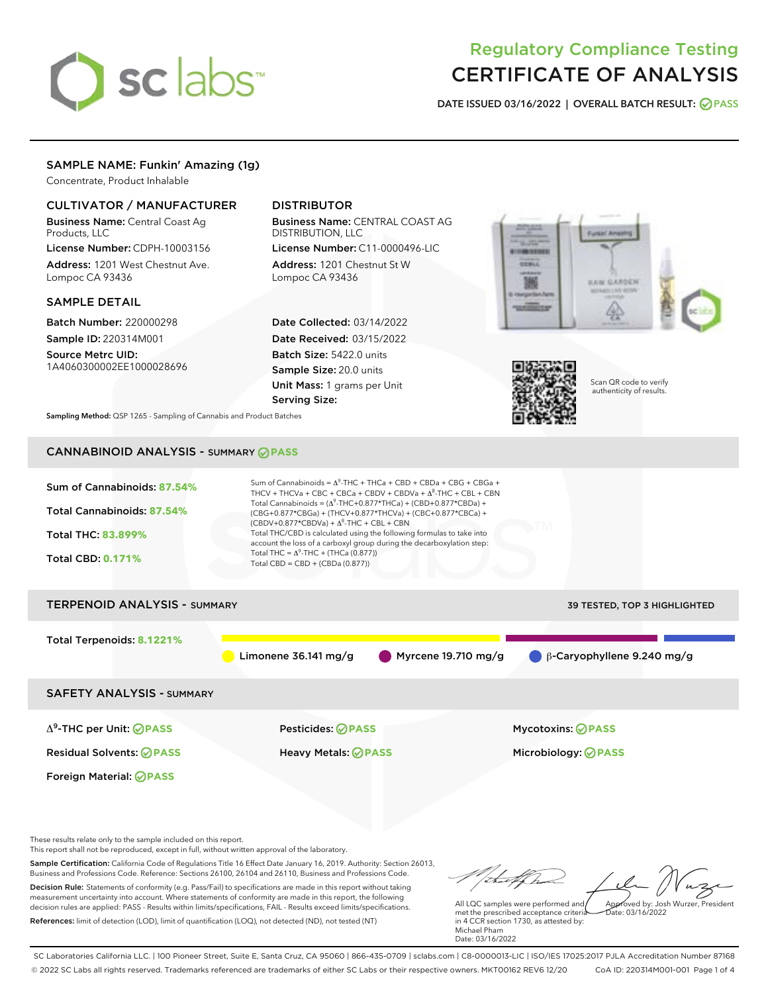# sclabs<sup>\*</sup>

# Regulatory Compliance Testing CERTIFICATE OF ANALYSIS

DATE ISSUED 03/16/2022 | OVERALL BATCH RESULT: @ PASS

# SAMPLE NAME: Funkin' Amazing (1g)

Concentrate, Product Inhalable

# CULTIVATOR / MANUFACTURER

Business Name: Central Coast Ag Products, LLC

License Number: CDPH-10003156 Address: 1201 West Chestnut Ave. Lompoc CA 93436

# SAMPLE DETAIL

Batch Number: 220000298 Sample ID: 220314M001

Source Metrc UID: 1A4060300002EE1000028696

# DISTRIBUTOR

Business Name: CENTRAL COAST AG DISTRIBUTION, LLC

License Number: C11-0000496-LIC Address: 1201 Chestnut St W Lompoc CA 93436

Date Collected: 03/14/2022 Date Received: 03/15/2022 Batch Size: 5422.0 units Sample Size: 20.0 units Unit Mass: 1 grams per Unit Serving Size:





Scan QR code to verify authenticity of results.

Sampling Method: QSP 1265 - Sampling of Cannabis and Product Batches

# CANNABINOID ANALYSIS - SUMMARY **PASS**



Business and Professions Code. Reference: Sections 26100, 26104 and 26110, Business and Professions Code. Decision Rule: Statements of conformity (e.g. Pass/Fail) to specifications are made in this report without taking measurement uncertainty into account. Where statements of conformity are made in this report, the following decision rules are applied: PASS - Results within limits/specifications, FAIL - Results exceed limits/specifications. References: limit of detection (LOD), limit of quantification (LOQ), not detected (ND), not tested (NT)

All LQC samples were performed and met the prescribed acceptance criteria in 4 CCR section 1730, as attested by: Michael Pham Approved by: Josh Wurzer, President  $hat: 03/16/2022$ 

Date: 03/16/2022

SC Laboratories California LLC. | 100 Pioneer Street, Suite E, Santa Cruz, CA 95060 | 866-435-0709 | sclabs.com | C8-0000013-LIC | ISO/IES 17025:2017 PJLA Accreditation Number 87168 © 2022 SC Labs all rights reserved. Trademarks referenced are trademarks of either SC Labs or their respective owners. MKT00162 REV6 12/20 CoA ID: 220314M001-001 Page 1 of 4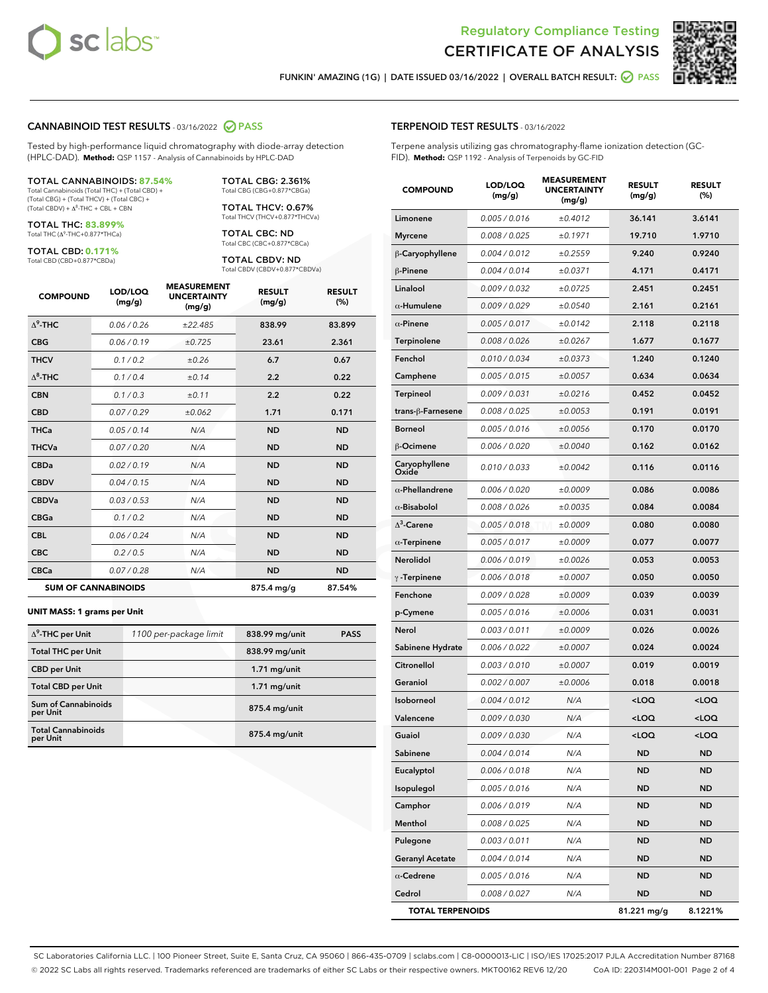



FUNKIN' AMAZING (1G) | DATE ISSUED 03/16/2022 | OVERALL BATCH RESULT: **O PASS** 

#### CANNABINOID TEST RESULTS - 03/16/2022 2 PASS

Tested by high-performance liquid chromatography with diode-array detection (HPLC-DAD). **Method:** QSP 1157 - Analysis of Cannabinoids by HPLC-DAD

#### TOTAL CANNABINOIDS: **87.54%**

Total Cannabinoids (Total THC) + (Total CBD) + (Total CBG) + (Total THCV) + (Total CBC) +  $(Total CBDV) +  $\Delta^8$ -THC + CBL + CBN$ 

TOTAL THC: **83.899%** Total THC (Δ<sup>9</sup> -THC+0.877\*THCa)

TOTAL CBD: **0.171%**

Total CBD (CBD+0.877\*CBDa)

TOTAL CBG: 2.361% Total CBG (CBG+0.877\*CBGa)

TOTAL THCV: 0.67% Total THCV (THCV+0.877\*THCVa)

TOTAL CBC: ND Total CBC (CBC+0.877\*CBCa)

TOTAL CBDV: ND Total CBDV (CBDV+0.877\*CBDVa)

| <b>COMPOUND</b>  | LOD/LOQ<br>(mg/g)          | <b>MEASUREMENT</b><br><b>UNCERTAINTY</b><br>(mg/g) | <b>RESULT</b><br>(mg/g) | <b>RESULT</b><br>(%) |
|------------------|----------------------------|----------------------------------------------------|-------------------------|----------------------|
| $\Lambda^9$ -THC | 0.06/0.26                  | ±22.485                                            | 838.99                  | 83.899               |
| <b>CBG</b>       | 0.06/0.19                  | ±0.725                                             | 23.61                   | 2.361                |
| <b>THCV</b>      | 0.1 / 0.2                  | ±0.26                                              | 6.7                     | 0.67                 |
| $\Lambda^8$ -THC | 0.1/0.4                    | ±0.14                                              | 2.2                     | 0.22                 |
| <b>CBN</b>       | 0.1 / 0.3                  | ±0.11                                              | 2.2                     | 0.22                 |
| <b>CBD</b>       | 0.07/0.29                  | ±0.062                                             | 1.71                    | 0.171                |
| <b>THCa</b>      | 0.05/0.14                  | N/A                                                | <b>ND</b>               | <b>ND</b>            |
| <b>THCVa</b>     | 0.07/0.20                  | N/A                                                | <b>ND</b>               | <b>ND</b>            |
| <b>CBDa</b>      | 0.02/0.19                  | N/A                                                | <b>ND</b>               | <b>ND</b>            |
| <b>CBDV</b>      | 0.04 / 0.15                | N/A                                                | <b>ND</b>               | <b>ND</b>            |
| <b>CBDVa</b>     | 0.03/0.53                  | N/A                                                | <b>ND</b>               | <b>ND</b>            |
| <b>CBGa</b>      | 0.1 / 0.2                  | N/A                                                | <b>ND</b>               | <b>ND</b>            |
| <b>CBL</b>       | 0.06 / 0.24                | N/A                                                | <b>ND</b>               | <b>ND</b>            |
| <b>CBC</b>       | 0.2 / 0.5                  | N/A                                                | <b>ND</b>               | <b>ND</b>            |
| <b>CBCa</b>      | 0.07/0.28                  | N/A                                                | <b>ND</b>               | <b>ND</b>            |
|                  | <b>SUM OF CANNABINOIDS</b> |                                                    | 875.4 mg/g              | 87.54%               |

#### **UNIT MASS: 1 grams per Unit**

| $\Delta^9$ -THC per Unit              | 1100 per-package limit | 838.99 mg/unit  | <b>PASS</b> |
|---------------------------------------|------------------------|-----------------|-------------|
| <b>Total THC per Unit</b>             |                        | 838.99 mg/unit  |             |
| <b>CBD</b> per Unit                   |                        | $1.71$ mg/unit  |             |
| <b>Total CBD per Unit</b>             |                        | $1.71$ mg/unit  |             |
| Sum of Cannabinoids<br>per Unit       |                        | 875.4 mg/unit   |             |
| <b>Total Cannabinoids</b><br>per Unit |                        | $875.4$ mg/unit |             |

#### TERPENOID TEST RESULTS - 03/16/2022

Terpene analysis utilizing gas chromatography-flame ionization detection (GC-FID). **Method:** QSP 1192 - Analysis of Terpenoids by GC-FID

| <b>COMPOUND</b>         | LOD/LOQ<br>(mg/g) | <b>MEASUREMENT</b><br><b>UNCERTAINTY</b><br>(mg/g) | <b>RESULT</b><br>(mg/g)                          | <b>RESULT</b><br>$(\%)$ |
|-------------------------|-------------------|----------------------------------------------------|--------------------------------------------------|-------------------------|
| Limonene                | 0.005 / 0.016     | ±0.4012                                            | 36.141                                           | 3.6141                  |
| <b>Myrcene</b>          | 0.008 / 0.025     | ±0.1971                                            | 19.710                                           | 1.9710                  |
| β-Caryophyllene         | 0.004 / 0.012     | ±0.2559                                            | 9.240                                            | 0.9240                  |
| β-Pinene                | 0.004 / 0.014     | ±0.0371                                            | 4.171                                            | 0.4171                  |
| Linalool                | 0.009 / 0.032     | ±0.0725                                            | 2.451                                            | 0.2451                  |
| $\alpha$ -Humulene      | 0.009 / 0.029     | ±0.0540                                            | 2.161                                            | 0.2161                  |
| $\alpha$ -Pinene        | 0.005 / 0.017     | ±0.0142                                            | 2.118                                            | 0.2118                  |
| Terpinolene             | 0.008 / 0.026     | ±0.0267                                            | 1.677                                            | 0.1677                  |
| Fenchol                 | 0.010 / 0.034     | ±0.0373                                            | 1.240                                            | 0.1240                  |
| Camphene                | 0.005 / 0.015     | ±0.0057                                            | 0.634                                            | 0.0634                  |
| <b>Terpineol</b>        | 0.009 / 0.031     | ±0.0216                                            | 0.452                                            | 0.0452                  |
| trans-β-Farnesene       | 0.008 / 0.025     | ±0.0053                                            | 0.191                                            | 0.0191                  |
| <b>Borneol</b>          | 0.005 / 0.016     | ±0.0056                                            | 0.170                                            | 0.0170                  |
| <b>B-Ocimene</b>        | 0.006 / 0.020     | ±0.0040                                            | 0.162                                            | 0.0162                  |
| Caryophyllene<br>Oxide  | 0.010 / 0.033     | ±0.0042                                            | 0.116                                            | 0.0116                  |
| $\alpha$ -Phellandrene  | 0.006 / 0.020     | ±0.0009                                            | 0.086                                            | 0.0086                  |
| $\alpha$ -Bisabolol     | 0.008 / 0.026     | ±0.0035                                            | 0.084                                            | 0.0084                  |
| $\Delta^3$ -Carene      | 0.005 / 0.018     | ±0.0009                                            | 0.080                                            | 0.0080                  |
| $\alpha$ -Terpinene     | 0.005 / 0.017     | ±0.0009                                            | 0.077                                            | 0.0077                  |
| Nerolidol               | 0.006 / 0.019     | ±0.0026                                            | 0.053                                            | 0.0053                  |
| $\gamma$ -Terpinene     | 0.006 / 0.018     | ±0.0007                                            | 0.050                                            | 0.0050                  |
| Fenchone                | 0.009 / 0.028     | ±0.0009                                            | 0.039                                            | 0.0039                  |
| p-Cymene                | 0.005 / 0.016     | ±0.0006                                            | 0.031                                            | 0.0031                  |
| Nerol                   | 0.003 / 0.011     | ±0.0009                                            | 0.026                                            | 0.0026                  |
| Sabinene Hydrate        | 0.006 / 0.022     | ±0.0007                                            | 0.024                                            | 0.0024                  |
| Citronellol             | 0.003 / 0.010     | ±0.0007                                            | 0.019                                            | 0.0019                  |
| Geraniol                | 0.002 / 0.007     | ±0.0006                                            | 0.018                                            | 0.0018                  |
| <b>Isoborneol</b>       | 0.004 / 0.012     | N/A                                                | <loq< th=""><th><loq< th=""></loq<></th></loq<>  | <loq< th=""></loq<>     |
| Valencene               | 0.009 / 0.030     | N/A                                                | <loq< th=""><th><loq< th=""></loq<></th></loq<>  | <loq< th=""></loq<>     |
| Guaiol                  | 0.009 / 0.030     | N/A                                                | <loq< th=""><th><math>&lt;</math>LOQ</th></loq<> | $<$ LOQ                 |
| Sabinene                | 0.004 / 0.014     | N/A                                                | ND                                               | ND                      |
| Eucalyptol              | 0.006 / 0.018     | N/A                                                | ND                                               | ND                      |
| Isopulegol              | 0.005 / 0.016     | N/A                                                | <b>ND</b>                                        | <b>ND</b>               |
| Camphor                 | 0.006 / 0.019     | N/A                                                | ND                                               | ND                      |
| Menthol                 | 0.008 / 0.025     | N/A                                                | ND                                               | ND                      |
| Pulegone                | 0.003 / 0.011     | N/A                                                | ND                                               | <b>ND</b>               |
| <b>Geranyl Acetate</b>  | 0.004 / 0.014     | N/A                                                | ND                                               | ND                      |
| $\alpha$ -Cedrene       | 0.005 / 0.016     | N/A                                                | ND                                               | ND                      |
| Cedrol                  | 0.008 / 0.027     | N/A                                                | <b>ND</b>                                        | <b>ND</b>               |
| <b>TOTAL TERPENOIDS</b> |                   |                                                    | 81.221 mg/g                                      | 8.1221%                 |

SC Laboratories California LLC. | 100 Pioneer Street, Suite E, Santa Cruz, CA 95060 | 866-435-0709 | sclabs.com | C8-0000013-LIC | ISO/IES 17025:2017 PJLA Accreditation Number 87168 © 2022 SC Labs all rights reserved. Trademarks referenced are trademarks of either SC Labs or their respective owners. MKT00162 REV6 12/20 CoA ID: 220314M001-001 Page 2 of 4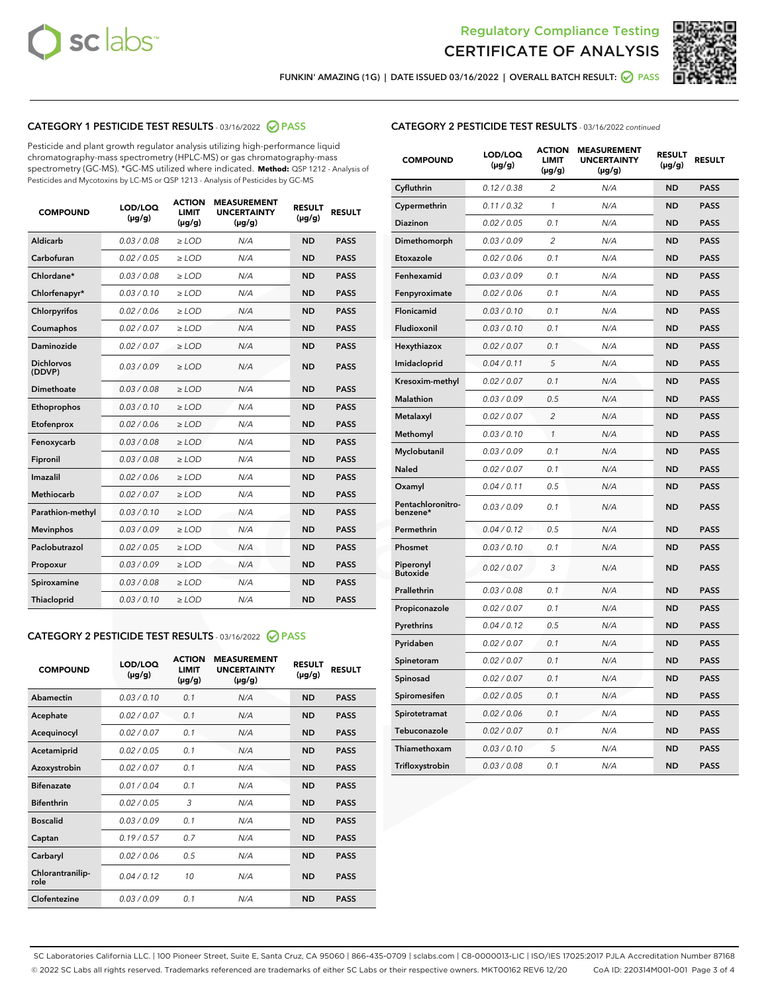



FUNKIN' AMAZING (1G) | DATE ISSUED 03/16/2022 | OVERALL BATCH RESULT: @ PASS

# CATEGORY 1 PESTICIDE TEST RESULTS - 03/16/2022 2 PASS

Pesticide and plant growth regulator analysis utilizing high-performance liquid chromatography-mass spectrometry (HPLC-MS) or gas chromatography-mass spectrometry (GC-MS). \*GC-MS utilized where indicated. **Method:** QSP 1212 - Analysis of Pesticides and Mycotoxins by LC-MS or QSP 1213 - Analysis of Pesticides by GC-MS

| <b>COMPOUND</b>             | LOD/LOQ<br>$(\mu g/g)$ | <b>ACTION</b><br>LIMIT<br>$(\mu g/g)$ | <b>MEASUREMENT</b><br><b>UNCERTAINTY</b><br>$(\mu g/g)$ | <b>RESULT</b><br>$(\mu g/g)$ | <b>RESULT</b> |
|-----------------------------|------------------------|---------------------------------------|---------------------------------------------------------|------------------------------|---------------|
| Aldicarb                    | 0.03 / 0.08            | $\ge$ LOD                             | N/A                                                     | <b>ND</b>                    | <b>PASS</b>   |
| Carbofuran                  | 0.02 / 0.05            | $\ge$ LOD                             | N/A                                                     | <b>ND</b>                    | <b>PASS</b>   |
| Chlordane*                  | 0.03/0.08              | $\ge$ LOD                             | N/A                                                     | <b>ND</b>                    | <b>PASS</b>   |
| Chlorfenapyr*               | 0.03/0.10              | $\ge$ LOD                             | N/A                                                     | <b>ND</b>                    | <b>PASS</b>   |
| Chlorpyrifos                | 0.02/0.06              | $\ge$ LOD                             | N/A                                                     | <b>ND</b>                    | <b>PASS</b>   |
| Coumaphos                   | 0.02 / 0.07            | $>$ LOD                               | N/A                                                     | <b>ND</b>                    | <b>PASS</b>   |
| Daminozide                  | 0.02 / 0.07            | $>$ LOD                               | N/A                                                     | <b>ND</b>                    | <b>PASS</b>   |
| <b>Dichlorvos</b><br>(DDVP) | 0.03/0.09              | $\ge$ LOD                             | N/A                                                     | <b>ND</b>                    | <b>PASS</b>   |
| Dimethoate                  | 0.03/0.08              | $>$ LOD                               | N/A                                                     | <b>ND</b>                    | <b>PASS</b>   |
| Ethoprophos                 | 0.03/0.10              | $\ge$ LOD                             | N/A                                                     | <b>ND</b>                    | <b>PASS</b>   |
| Etofenprox                  | 0.02 / 0.06            | $>$ LOD                               | N/A                                                     | <b>ND</b>                    | <b>PASS</b>   |
| Fenoxycarb                  | 0.03/0.08              | $>$ LOD                               | N/A                                                     | <b>ND</b>                    | <b>PASS</b>   |
| Fipronil                    | 0.03/0.08              | $\ge$ LOD                             | N/A                                                     | <b>ND</b>                    | <b>PASS</b>   |
| Imazalil                    | 0.02 / 0.06            | $>$ LOD                               | N/A                                                     | <b>ND</b>                    | <b>PASS</b>   |
| <b>Methiocarb</b>           | 0.02 / 0.07            | $\ge$ LOD                             | N/A                                                     | <b>ND</b>                    | <b>PASS</b>   |
| Parathion-methyl            | 0.03/0.10              | $>$ LOD                               | N/A                                                     | <b>ND</b>                    | <b>PASS</b>   |
| <b>Mevinphos</b>            | 0.03/0.09              | $\ge$ LOD                             | N/A                                                     | <b>ND</b>                    | <b>PASS</b>   |
| Paclobutrazol               | 0.02 / 0.05            | $\ge$ LOD                             | N/A                                                     | <b>ND</b>                    | <b>PASS</b>   |
| Propoxur                    | 0.03/0.09              | $\ge$ LOD                             | N/A                                                     | <b>ND</b>                    | <b>PASS</b>   |
| Spiroxamine                 | 0.03/0.08              | $\ge$ LOD                             | N/A                                                     | <b>ND</b>                    | <b>PASS</b>   |
| Thiacloprid                 | 0.03/0.10              | $>$ LOD                               | N/A                                                     | <b>ND</b>                    | <b>PASS</b>   |
|                             |                        |                                       |                                                         |                              |               |

# CATEGORY 2 PESTICIDE TEST RESULTS - 03/16/2022 @ PASS

| <b>COMPOUND</b>          | LOD/LOQ<br>$(\mu g/g)$ | <b>ACTION</b><br><b>LIMIT</b><br>$(\mu g/g)$ | <b>MEASUREMENT</b><br><b>UNCERTAINTY</b><br>$(\mu g/g)$ | <b>RESULT</b><br>$(\mu g/g)$ | <b>RESULT</b> |
|--------------------------|------------------------|----------------------------------------------|---------------------------------------------------------|------------------------------|---------------|
| Abamectin                | 0.03/0.10              | 0.1                                          | N/A                                                     | <b>ND</b>                    | <b>PASS</b>   |
| Acephate                 | 0.02/0.07              | 0.1                                          | N/A                                                     | <b>ND</b>                    | <b>PASS</b>   |
| Acequinocyl              | 0.02/0.07              | 0.1                                          | N/A                                                     | <b>ND</b>                    | <b>PASS</b>   |
| Acetamiprid              | 0.02/0.05              | 0.1                                          | N/A                                                     | <b>ND</b>                    | <b>PASS</b>   |
| Azoxystrobin             | 0.02 / 0.07            | 0.1                                          | N/A                                                     | <b>ND</b>                    | <b>PASS</b>   |
| <b>Bifenazate</b>        | 0.01/0.04              | 0.1                                          | N/A                                                     | <b>ND</b>                    | <b>PASS</b>   |
| <b>Bifenthrin</b>        | 0.02 / 0.05            | 3                                            | N/A                                                     | <b>ND</b>                    | <b>PASS</b>   |
| <b>Boscalid</b>          | 0.03/0.09              | 0.1                                          | N/A                                                     | <b>ND</b>                    | <b>PASS</b>   |
| Captan                   | 0.19/0.57              | 0.7                                          | N/A                                                     | <b>ND</b>                    | <b>PASS</b>   |
| Carbaryl                 | 0.02/0.06              | 0.5                                          | N/A                                                     | <b>ND</b>                    | <b>PASS</b>   |
| Chlorantranilip-<br>role | 0.04/0.12              | 10                                           | N/A                                                     | <b>ND</b>                    | <b>PASS</b>   |
| Clofentezine             | 0.03/0.09              | 0.1                                          | N/A                                                     | <b>ND</b>                    | <b>PASS</b>   |

# CATEGORY 2 PESTICIDE TEST RESULTS - 03/16/2022 continued

| <b>COMPOUND</b>               | LOD/LOQ<br>(µg/g) | <b>ACTION</b><br><b>LIMIT</b><br>$(\mu g/g)$ | <b>MEASUREMENT</b><br><b>UNCERTAINTY</b><br>(µg/g) | <b>RESULT</b><br>$(\mu g/g)$ | <b>RESULT</b> |
|-------------------------------|-------------------|----------------------------------------------|----------------------------------------------------|------------------------------|---------------|
| Cyfluthrin                    | 0.12 / 0.38       | $\overline{c}$                               | N/A                                                | <b>ND</b>                    | <b>PASS</b>   |
| Cypermethrin                  | 0.11/0.32         | 1                                            | N/A                                                | <b>ND</b>                    | <b>PASS</b>   |
| <b>Diazinon</b>               | 0.02 / 0.05       | 0.1                                          | N/A                                                | <b>ND</b>                    | <b>PASS</b>   |
| Dimethomorph                  | 0.03 / 0.09       | $\overline{2}$                               | N/A                                                | <b>ND</b>                    | <b>PASS</b>   |
| Etoxazole                     | 0.02 / 0.06       | 0.1                                          | N/A                                                | <b>ND</b>                    | <b>PASS</b>   |
| Fenhexamid                    | 0.03 / 0.09       | 0.1                                          | N/A                                                | <b>ND</b>                    | <b>PASS</b>   |
| Fenpyroximate                 | 0.02 / 0.06       | 0.1                                          | N/A                                                | <b>ND</b>                    | <b>PASS</b>   |
| Flonicamid                    | 0.03 / 0.10       | 0.1                                          | N/A                                                | <b>ND</b>                    | <b>PASS</b>   |
| Fludioxonil                   | 0.03 / 0.10       | 0.1                                          | N/A                                                | <b>ND</b>                    | <b>PASS</b>   |
| Hexythiazox                   | 0.02 / 0.07       | 0.1                                          | N/A                                                | <b>ND</b>                    | <b>PASS</b>   |
| Imidacloprid                  | 0.04 / 0.11       | 5                                            | N/A                                                | <b>ND</b>                    | <b>PASS</b>   |
| Kresoxim-methyl               | 0.02 / 0.07       | 0.1                                          | N/A                                                | <b>ND</b>                    | <b>PASS</b>   |
| Malathion                     | 0.03 / 0.09       | 0.5                                          | N/A                                                | <b>ND</b>                    | <b>PASS</b>   |
| Metalaxyl                     | 0.02 / 0.07       | $\overline{c}$                               | N/A                                                | <b>ND</b>                    | <b>PASS</b>   |
| Methomyl                      | 0.03 / 0.10       | 1                                            | N/A                                                | <b>ND</b>                    | <b>PASS</b>   |
| Myclobutanil                  | 0.03 / 0.09       | 0.1                                          | N/A                                                | <b>ND</b>                    | <b>PASS</b>   |
| Naled                         | 0.02 / 0.07       | 0.1                                          | N/A                                                | <b>ND</b>                    | <b>PASS</b>   |
| Oxamyl                        | 0.04 / 0.11       | 0.5                                          | N/A                                                | <b>ND</b>                    | <b>PASS</b>   |
| Pentachloronitro-<br>benzene* | 0.03 / 0.09       | 0.1                                          | N/A                                                | <b>ND</b>                    | <b>PASS</b>   |
| Permethrin                    | 0.04 / 0.12       | 0.5                                          | N/A                                                | <b>ND</b>                    | <b>PASS</b>   |
| Phosmet                       | 0.03 / 0.10       | 0.1                                          | N/A                                                | <b>ND</b>                    | <b>PASS</b>   |
| Piperonyl<br><b>Butoxide</b>  | 0.02 / 0.07       | 3                                            | N/A                                                | <b>ND</b>                    | <b>PASS</b>   |
| Prallethrin                   | 0.03 / 0.08       | 0.1                                          | N/A                                                | <b>ND</b>                    | <b>PASS</b>   |
| Propiconazole                 | 0.02 / 0.07       | 0.1                                          | N/A                                                | <b>ND</b>                    | <b>PASS</b>   |
| Pyrethrins                    | 0.04 / 0.12       | 0.5                                          | N/A                                                | <b>ND</b>                    | <b>PASS</b>   |
| Pyridaben                     | 0.02 / 0.07       | 0.1                                          | N/A                                                | <b>ND</b>                    | <b>PASS</b>   |
| Spinetoram                    | 0.02 / 0.07       | 0.1                                          | N/A                                                | <b>ND</b>                    | <b>PASS</b>   |
| Spinosad                      | 0.02 / 0.07       | 0.1                                          | N/A                                                | <b>ND</b>                    | <b>PASS</b>   |
| Spiromesifen                  | 0.02 / 0.05       | 0.1                                          | N/A                                                | ND                           | PASS          |
| Spirotetramat                 | 0.02 / 0.06       | 0.1                                          | N/A                                                | <b>ND</b>                    | <b>PASS</b>   |
| Tebuconazole                  | 0.02 / 0.07       | 0.1                                          | N/A                                                | <b>ND</b>                    | <b>PASS</b>   |
| Thiamethoxam                  | 0.03 / 0.10       | 5                                            | N/A                                                | <b>ND</b>                    | <b>PASS</b>   |
| Trifloxystrobin               | 0.03 / 0.08       | 0.1                                          | N/A                                                | ND                           | <b>PASS</b>   |

SC Laboratories California LLC. | 100 Pioneer Street, Suite E, Santa Cruz, CA 95060 | 866-435-0709 | sclabs.com | C8-0000013-LIC | ISO/IES 17025:2017 PJLA Accreditation Number 87168 © 2022 SC Labs all rights reserved. Trademarks referenced are trademarks of either SC Labs or their respective owners. MKT00162 REV6 12/20 CoA ID: 220314M001-001 Page 3 of 4